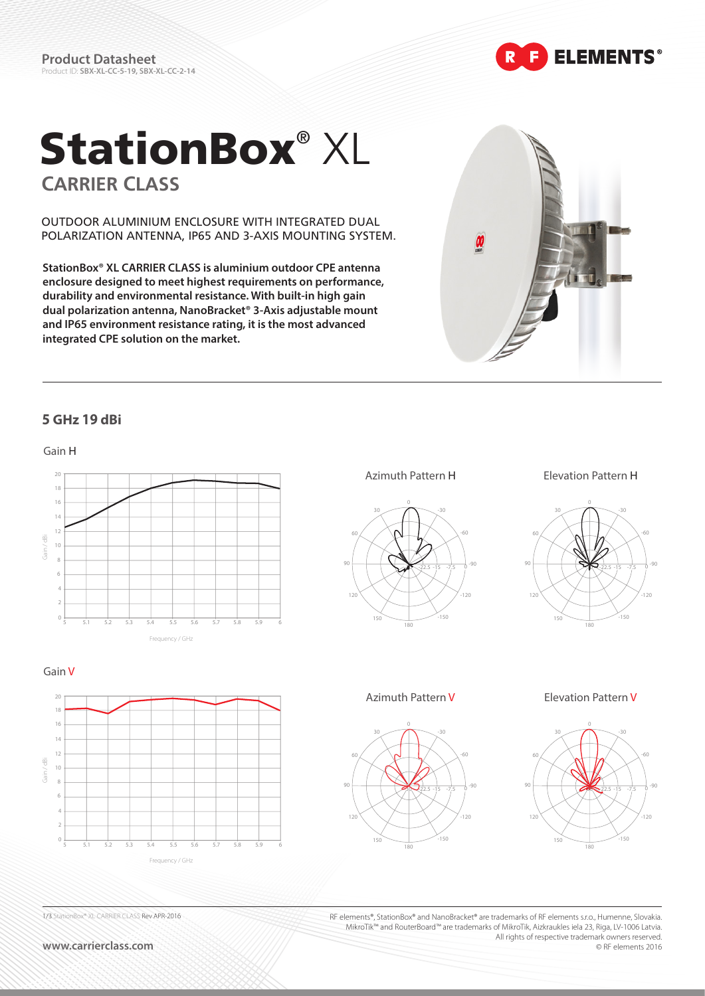**Product Datasheet** Product ID: **SBX-XL-CC-5-19, SBX-XL-CC-2-14** **ELEMENTS®** 

# StationBox® XL **CARRIER CLASS**

OUTDOOR ALUMINIUM ENCLOSURE WITH INTEGRATED DUAL POLARIZATION ANTENNA, IP65 AND 3-AXIS MOUNTING SYSTEM.

**StationBox® XL CARRIER CLASS is aluminium outdoor CPE antenna enclosure designed to meet highest requirements on performance, durability and environmental resistance. With built-in high gain dual polarization antenna, NanoBracket® 3-Axis adjustable mount and IP65 environment resistance rating, it is the most advanced integrated CPE solution on the market.** 





**www.carrierclass.com**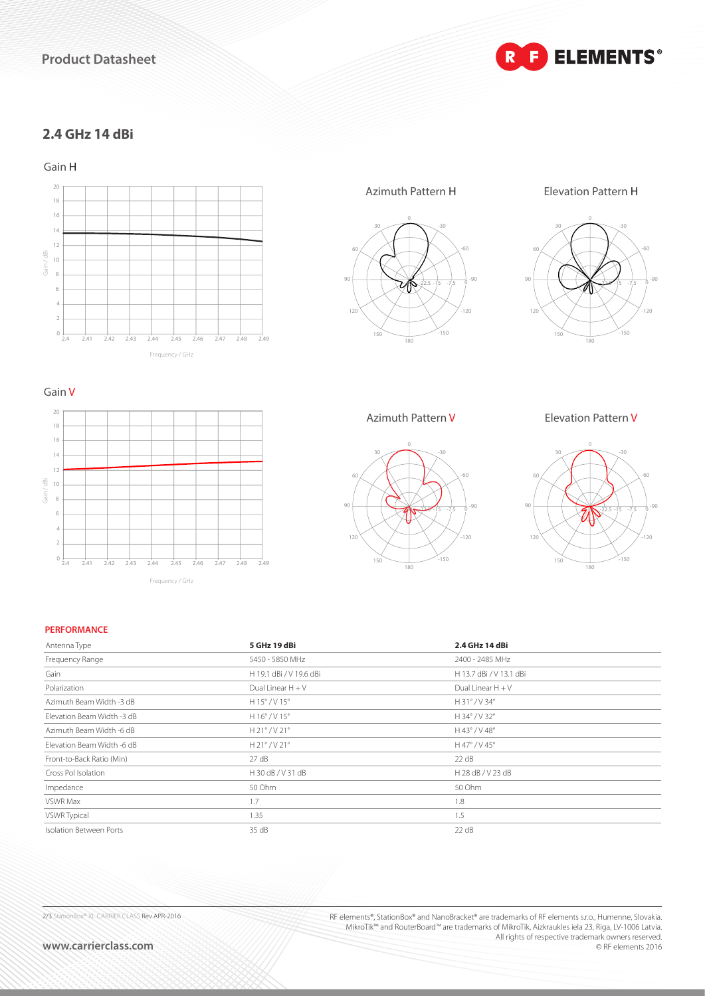## **Product Datasheet**

**E** ELEMENTS®  $\mathbf{R}$ 

## **2.4 GHz 14 dBi**

Gain H



Frequency / GHz

2.4 2.41 2.42 2.43 2.44 2.45 2.46 2.47 2.48 2.49









Azimuth Pattern V Elevation Pattern V



#### **PERFORMANCE**

Gain / dBi

Gain / dBi

 $\circ$ 

4

2

Gain V

20

16

18

12

14

8

6

10

| Antenna Type               | 5 GHz 19 dBi            | 2.4 GHz 14 dBi              |  |
|----------------------------|-------------------------|-----------------------------|--|
| Frequency Range            | 5450 - 5850 MHz         | 2400 - 2485 MHz             |  |
| Gain                       | H 19.1 dBi / V 19.6 dBi | H 13.7 dBi / V 13.1 dBi     |  |
| Polarization               | Dual Linear $H + V$     | Dual Linear $H + V$         |  |
| Azimuth Beam Width -3 dB   | $H$ 15° / V 15°         | $H31^\circ$ / V 34 $^\circ$ |  |
| Elevation Beam Width -3 dB | H 16° / V 15°           | H 34° / V 32°               |  |
| Azimuth Beam Width -6 dB   | $H$ 21° / V 21°         | H 43° / V 48°               |  |
| Elevation Beam Width -6 dB | $H$ 21° / V 21°         | H 47° / V 45°               |  |
| Front-to-Back Ratio (Min)  | 27 dB                   | 22 dB                       |  |
| Cross Pol Isolation        | H 30 dB / V 31 dB       | H 28 dB / V 23 dB           |  |
| Impedance                  | 50 Ohm                  | 50 Ohm                      |  |
| VSWR Max                   | 1.7                     | 1.8                         |  |
| VSWR Typical               | 1.35                    | 1.5                         |  |
| Isolation Between Ports    | 35 dB                   | 22 dB                       |  |

2/3 StationBox® XL CARRIER CLASS Rev APR-2016

RF elements®, StationBox® and NanoBracket® are trademarks of RF elements s.r.o., Humenne, Slovakia. MikroTik™ and RouterBoard™ are trademarks of MikroTik, Aizkraukles iela 23, Riga, LV-1006 Latvia. All rights of respective trademark owners reserved. © RF elements 2016

**www.carrierclass.com**